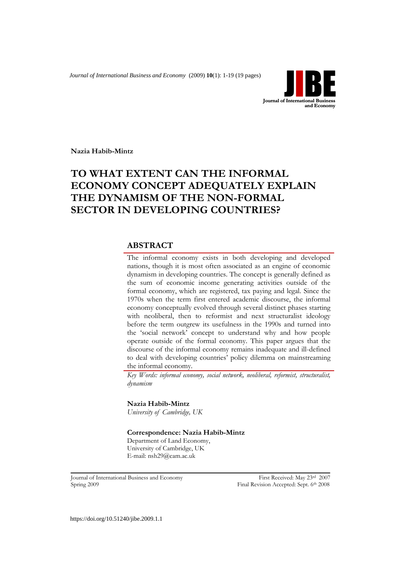*Journal of International Business and Economy* (2009) **10**(1): 1-19 (19 pages)



**Nazia Habib-Mintz**

# **TO WHAT EXTENT CAN THE INFORMAL ECONOMY CONCEPT ADEQUATELY EXPLAIN THE DYNAMISM OF THE NON-FORMAL SECTOR IN DEVELOPING COUNTRIES?**

## **ABSTRACT**

The informal economy exists in both developing and developed nations, though it is most often associated as an engine of economic dynamism in developing countries. The concept is generally defined as the sum of economic income generating activities outside of the formal economy, which are registered, tax paying and legal. Since the 1970s when the term first entered academic discourse, the informal economy conceptually evolved through several distinct phases starting with neoliberal, then to reformist and next structuralist ideology before the term outgrew its usefulness in the 1990s and turned into the "social network" concept to understand why and how people operate outside of the formal economy. This paper argues that the discourse of the informal economy remains inadequate and ill-defined to deal with developing countries" policy dilemma on mainstreaming the informal economy.

*Key Words: informal economy, social network, neoliberal, reformist, structuralist, dynamism*

**Nazia Habib-Mintz** *University of Cambridge, UK*

**Correspondence: Nazia Habib-Mintz** Department of Land Economy, University of Cambridge, UK

E-mail: nsh29@cam.ac.uk

Journal of International Business and Economy First Received: May 23rd 2007 Spring 2009 **Final Revision Accepted: Sept. 6th 2008**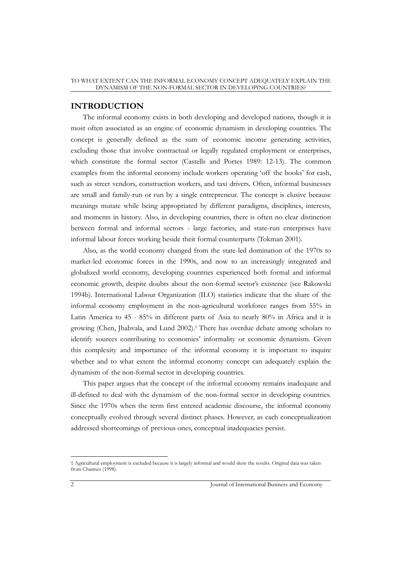## **INTRODUCTION**

The informal economy exists in both developing and developed nations, though it is most often associated as an engine of economic dynamism in developing countries. The concept is generally defined as the sum of economic income generating activities, excluding those that involve contractual or legally regulated employment or enterprises, which constitute the formal sector (Castells and Portes 1989: 12-13). The common examples from the informal economy include workers operating 'off the books' for cash, such as street vendors, construction workers, and taxi drivers. Often, informal businesses are small and family-run or run by a single entrepreneur. The concept is elusive because meanings mutate while being appropriated by different paradigms, disciplines, interests, and moments in history. Also, in developing countries, there is often no clear distinction between formal and informal sectors - large factories, and state-run enterprises have informal labour forces working beside their formal counterparts (Tokman 2001).

Also, as the world economy changed from the state-led domination of the 1970s to market-led economic forces in the 1990s, and now to an increasingly integrated and globalized world economy, developing countries experienced both formal and informal economic growth, despite doubts about the non-formal sector's existence (see Rakowski 1994b). International Labour Organization (ILO) statistics indicate that the share of the informal economy employment in the non-agricultural workforce ranges from 55% in Latin America to 45 - 85% in different parts of Asia to nearly 80% in Africa and it is growing (Chen, Jhabvala, and Lund 2002).<sup>1</sup> There has overdue debate among scholars to identify sources contributing to economies" informality or economic dynamism. Given this complexity and importance of the informal economy it is important to inquire whether and to what extent the informal economy concept can adequately explain the dynamism of the non-formal sector in developing countries.

This paper argues that the concept of the informal economy remains inadequate and ill-defined to deal with the dynamism of the non-formal sector in developing countries. Since the 1970s when the term first entered academic discourse, the informal economy conceptually evolved through several distinct phases. However, as each conceptualization addressed shortcomings of previous ones, conceptual inadequacies persist.

<sup>1</sup> Agricultural employment is excluded because it is largely informal and would skew the results. Original data was taken from Charmes (1998).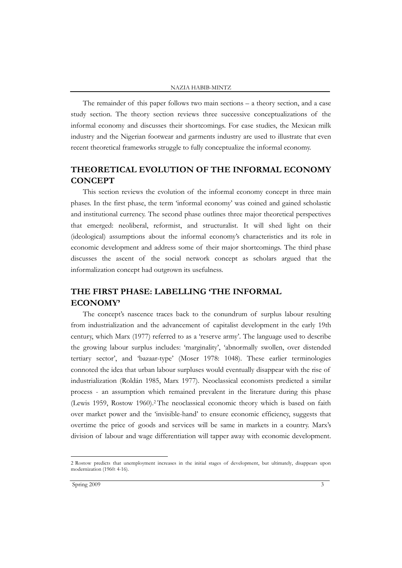The remainder of this paper follows two main sections – a theory section, and a case study section. The theory section reviews three successive conceptualizations of the informal economy and discusses their shortcomings. For case studies, the Mexican milk industry and the Nigerian footwear and garments industry are used to illustrate that even recent theoretical frameworks struggle to fully conceptualize the informal economy.

## **THEORETICAL EVOLUTION OF THE INFORMAL ECONOMY CONCEPT**

This section reviews the evolution of the informal economy concept in three main phases. In the first phase, the term "informal economy" was coined and gained scholastic and institutional currency. The second phase outlines three major theoretical perspectives that emerged: neoliberal, reformist, and structuralist. It will shed light on their (ideological) assumptions about the informal economy"s characteristics and its role in economic development and address some of their major shortcomings. The third phase discusses the ascent of the social network concept as scholars argued that the informalization concept had outgrown its usefulness.

## **THE FIRST PHASE: LABELLING 'THE INFORMAL ECONOMY'**

The concept's nascence traces back to the conundrum of surplus labour resulting from industrialization and the advancement of capitalist development in the early 19th century, which Marx (1977) referred to as a "reserve army". The language used to describe the growing labour surplus includes: 'marginality', 'abnormally swollen, over distended tertiary sector", and "bazaar-type" (Moser 1978: 1048). These earlier terminologies connoted the idea that urban labour surpluses would eventually disappear with the rise of industrialization (Roldán 1985, Marx 1977). Neoclassical economists predicted a similar process - an assumption which remained prevalent in the literature during this phase (Lewis 1959, Rostow 1960).<sup>2</sup> The neoclassical economic theory which is based on faith over market power and the "invisible-hand" to ensure economic efficiency, suggests that overtime the price of goods and services will be same in markets in a country. Marx"s division of labour and wage differentiation will tapper away with economic development.

<sup>2</sup> Rostow predicts that unemployment increases in the initial stages of development, but ultimately, disappears upon modernization (1960: 4-16).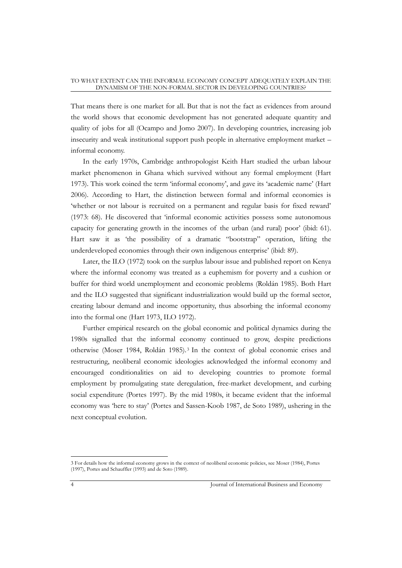That means there is one market for all. But that is not the fact as evidences from around the world shows that economic development has not generated adequate quantity and quality of jobs for all (Ocampo and Jomo 2007). In developing countries, increasing job insecurity and weak institutional support push people in alternative employment market – informal economy.

In the early 1970s, Cambridge anthropologist Keith Hart studied the urban labour market phenomenon in Ghana which survived without any formal employment (Hart 1973). This work coined the term "informal economy", and gave its "academic name" (Hart 2006). According to Hart, the distinction between formal and informal economies is 'whether or not labour is recruited on a permanent and regular basis for fixed reward' (1973: 68). He discovered that "informal economic activities possess some autonomous capacity for generating growth in the incomes of the urban (and rural) poor" (ibid: 61). Hart saw it as "the possibility of a dramatic "bootstrap" operation, lifting the underdeveloped economies through their own indigenous enterprise' (ibid: 89).

Later, the ILO (1972) took on the surplus labour issue and published report on Kenya where the informal economy was treated as a euphemism for poverty and a cushion or buffer for third world unemployment and economic problems (Roldán 1985). Both Hart and the ILO suggested that significant industrialization would build up the formal sector, creating labour demand and income opportunity, thus absorbing the informal economy into the formal one (Hart 1973, ILO 1972).

Further empirical research on the global economic and political dynamics during the 1980s signalled that the informal economy continued to grow, despite predictions otherwise (Moser 1984, Roldán 1985).<sup>3</sup> In the context of global economic crises and restructuring, neoliberal economic ideologies acknowledged the informal economy and encouraged conditionalities on aid to developing countries to promote formal employment by promulgating state deregulation, free-market development, and curbing social expenditure (Portes 1997). By the mid 1980s, it became evident that the informal economy was "here to stay" (Portes and Sassen-Koob 1987, de Soto 1989), ushering in the next conceptual evolution.

<sup>3</sup> For details how the informal economy grows in the context of neoliberal economic policies, see Moser (1984), Portes (1997), Portes and Schauffler (1993) and de Soto (1989).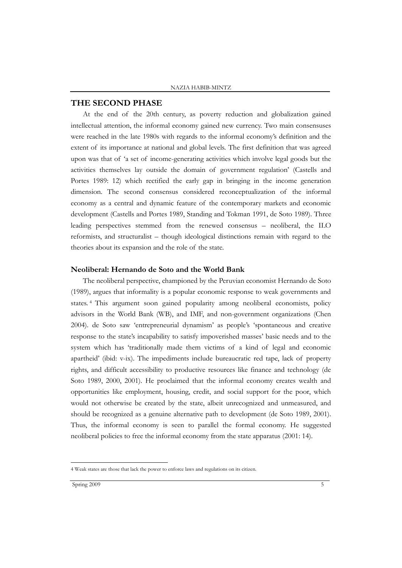## **THE SECOND PHASE**

At the end of the 20th century, as poverty reduction and globalization gained intellectual attention, the informal economy gained new currency. Two main consensuses were reached in the late 1980s with regards to the informal economy"s definition and the extent of its importance at national and global levels. The first definition that was agreed upon was that of "a set of income-generating activities which involve legal goods but the activities themselves lay outside the domain of government regulation" (Castells and Portes 1989: 12) which rectified the early gap in bringing in the income generation dimension. The second consensus considered reconceptualization of the informal economy as a central and dynamic feature of the contemporary markets and economic development (Castells and Portes 1989, Standing and Tokman 1991, de Soto 1989). Three leading perspectives stemmed from the renewed consensus – neoliberal, the ILO reformists, and structuralist – though ideological distinctions remain with regard to the theories about its expansion and the role of the state.

### **Neoliberal: Hernando de Soto and the World Bank**

The neoliberal perspective, championed by the Peruvian economist Hernando de Soto (1989), argues that informality is a popular economic response to weak governments and states. <sup>4</sup> This argument soon gained popularity among neoliberal economists, policy advisors in the World Bank (WB), and IMF, and non-government organizations (Chen 2004). de Soto saw "entrepreneurial dynamism" as people"s "spontaneous and creative response to the state"s incapability to satisfy impoverished masses" basic needs and to the system which has "traditionally made them victims of a kind of legal and economic apartheid" (ibid: v-ix). The impediments include bureaucratic red tape, lack of property rights, and difficult accessibility to productive resources like finance and technology (de Soto 1989, 2000, 2001). He proclaimed that the informal economy creates wealth and opportunities like employment, housing, credit, and social support for the poor, which would not otherwise be created by the state, albeit unrecognized and unmeasured, and should be recognized as a genuine alternative path to development (de Soto 1989, 2001). Thus, the informal economy is seen to parallel the formal economy. He suggested neoliberal policies to free the informal economy from the state apparatus (2001: 14).

<sup>4</sup> Weak states are those that lack the power to enforce laws and regulations on its citizen.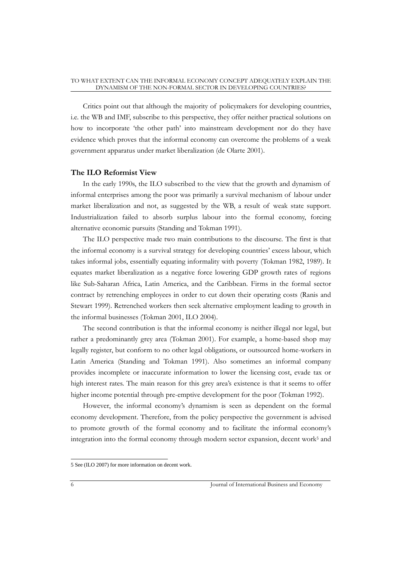Critics point out that although the majority of policymakers for developing countries, i.e. the WB and IMF, subscribe to this perspective, they offer neither practical solutions on how to incorporate 'the other path' into mainstream development nor do they have evidence which proves that the informal economy can overcome the problems of a weak government apparatus under market liberalization (de Olarte 2001).

## **The ILO Reformist View**

In the early 1990s, the ILO subscribed to the view that the growth and dynamism of informal enterprises among the poor was primarily a survival mechanism of labour under market liberalization and not, as suggested by the WB, a result of weak state support. Industrialization failed to absorb surplus labour into the formal economy, forcing alternative economic pursuits (Standing and Tokman 1991).

The ILO perspective made two main contributions to the discourse. The first is that the informal economy is a survival strategy for developing countries' excess labour, which takes informal jobs, essentially equating informality with poverty (Tokman 1982, 1989). It equates market liberalization as a negative force lowering GDP growth rates of regions like Sub-Saharan Africa, Latin America, and the Caribbean. Firms in the formal sector contract by retrenching employees in order to cut down their operating costs (Ranis and Stewart 1999). Retrenched workers then seek alternative employment leading to growth in the informal businesses (Tokman 2001, ILO 2004).

The second contribution is that the informal economy is neither illegal nor legal, but rather a predominantly grey area (Tokman 2001). For example, a home-based shop may legally register, but conform to no other legal obligations, or outsourced home-workers in Latin America (Standing and Tokman 1991). Also sometimes an informal company provides incomplete or inaccurate information to lower the licensing cost, evade tax or high interest rates. The main reason for this grey area's existence is that it seems to offer higher income potential through pre-emptive development for the poor (Tokman 1992).

However, the informal economy's dynamism is seen as dependent on the formal economy development. Therefore, from the policy perspective the government is advised to promote growth of the formal economy and to facilitate the informal economy"s integration into the formal economy through modern sector expansion, decent work<sup>5</sup> and

 5 See (ILO 2007) for more information on decent work.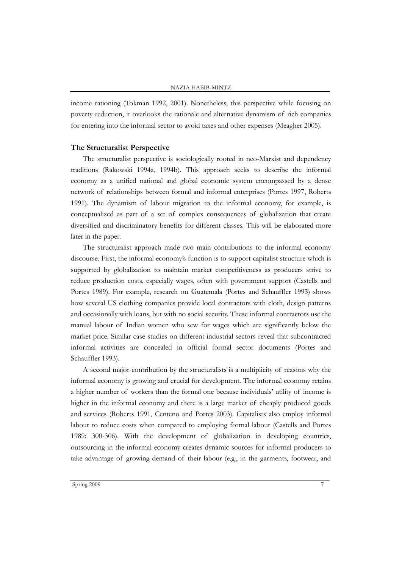income rationing (Tokman 1992, 2001). Nonetheless, this perspective while focusing on poverty reduction, it overlooks the rationale and alternative dynamism of rich companies for entering into the informal sector to avoid taxes and other expenses (Meagher 2005).

#### **The Structuralist Perspective**

The structuralist perspective is sociologically rooted in neo-Marxist and dependency traditions (Rakowski 1994a, 1994b). This approach seeks to describe the informal economy as a unified national and global economic system encompassed by a dense network of relationships between formal and informal enterprises (Portes 1997, Roberts 1991). The dynamism of labour migration to the informal economy, for example, is conceptualized as part of a set of complex consequences of globalization that create diversified and discriminatory benefits for different classes. This will be elaborated more later in the paper.

The structuralist approach made two main contributions to the informal economy discourse. First, the informal economy's function is to support capitalist structure which is supported by globalization to maintain market competitiveness as producers strive to reduce production costs, especially wages, often with government support (Castells and Portes 1989). For example, research on Guatemala (Portes and Schauffler 1993) shows how several US clothing companies provide local contractors with cloth, design patterns and occasionally with loans, but with no social security. These informal contractors use the manual labour of Indian women who sew for wages which are significantly below the market price. Similar case studies on different industrial sectors reveal that subcontracted informal activities are concealed in official formal sector documents (Portes and Schauffler 1993).

A second major contribution by the structuralists is a multiplicity of reasons why the informal economy is growing and crucial for development. The informal economy retains a higher number of workers than the formal one because individuals" utility of income is higher in the informal economy and there is a large market of cheaply produced goods and services (Roberts 1991, Centeno and Portes 2003). Capitalists also employ informal labour to reduce costs when compared to employing formal labour (Castells and Portes 1989: 300-306). With the development of globalization in developing countries, outsourcing in the informal economy creates dynamic sources for informal producers to take advantage of growing demand of their labour (e.g., in the garments, footwear, and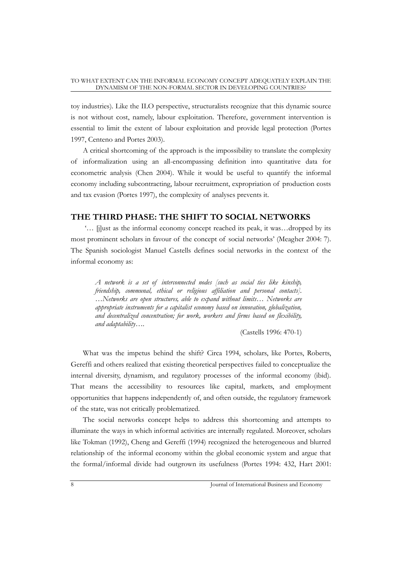toy industries). Like the ILO perspective, structuralists recognize that this dynamic source is not without cost, namely, labour exploitation. Therefore, government intervention is essential to limit the extent of labour exploitation and provide legal protection (Portes 1997, Centeno and Portes 2003).

A critical shortcoming of the approach is the impossibility to translate the complexity of informalization using an all-encompassing definition into quantitative data for econometric analysis (Chen 2004). While it would be useful to quantify the informal economy including subcontracting, labour recruitment, expropriation of production costs and tax evasion (Portes 1997), the complexity of analyses prevents it.

## **THE THIRD PHASE: THE SHIFT TO SOCIAL NETWORKS**

"… [j]ust as the informal economy concept reached its peak, it was…dropped by its most prominent scholars in favour of the concept of social networks" (Meagher 2004: 7). The Spanish sociologist Manuel Castells defines social networks in the context of the informal economy as:

*A network is a set of interconnected nodes [such as social ties like kinship, friendship, communal, ethical or religious affiliation and personal contacts]. …Networks are open structures, able to expand without limits… Networks are appropriate instruments for a capitalist economy based on innovation, globalization, and decentralized concentration; for work, workers and firms based on flexibility, and adaptability….* 

(Castells 1996: 470-1)

What was the impetus behind the shift? Circa 1994, scholars, like Portes, Roberts, Gereffi and others realized that existing theoretical perspectives failed to conceptualize the internal diversity, dynamism, and regulatory processes of the informal economy (ibid). That means the accessibility to resources like capital, markets, and employment opportunities that happens independently of, and often outside, the regulatory framework of the state, was not critically problematized.

The social networks concept helps to address this shortcoming and attempts to illuminate the ways in which informal activities are internally regulated. Moreover, scholars like Tokman (1992), Cheng and Gereffi (1994) recognized the heterogeneous and blurred relationship of the informal economy within the global economic system and argue that the formal/informal divide had outgrown its usefulness (Portes 1994: 432, Hart 2001: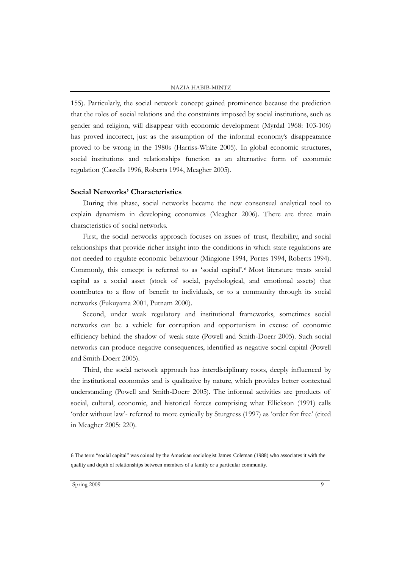155). Particularly, the social network concept gained prominence because the prediction that the roles of social relations and the constraints imposed by social institutions, such as gender and religion, will disappear with economic development (Myrdal 1968: 103-106) has proved incorrect, just as the assumption of the informal economy's disappearance proved to be wrong in the 1980s (Harriss-White 2005). In global economic structures, social institutions and relationships function as an alternative form of economic regulation (Castells 1996, Roberts 1994, Meagher 2005).

#### **Social Networks' Characteristics**

During this phase, social networks became the new consensual analytical tool to explain dynamism in developing economies (Meagher 2006). There are three main characteristics of social networks.

First, the social networks approach focuses on issues of trust, flexibility, and social relationships that provide richer insight into the conditions in which state regulations are not needed to regulate economic behaviour (Mingione 1994, Portes 1994, Roberts 1994). Commonly, this concept is referred to as "social capital". <sup>6</sup> Most literature treats social capital as a social asset (stock of social, psychological, and emotional assets) that contributes to a flow of benefit to individuals, or to a community through its social networks (Fukuyama 2001, Putnam 2000).

Second, under weak regulatory and institutional frameworks, sometimes social networks can be a vehicle for corruption and opportunism in excuse of economic efficiency behind the shadow of weak state (Powell and Smith-Doerr 2005). Such social networks can produce negative consequences, identified as negative social capital (Powell and Smith-Doerr 2005).

Third, the social network approach has interdisciplinary roots, deeply influenced by the institutional economics and is qualitative by nature, which provides better contextual understanding (Powell and Smith-Doerr 2005). The informal activities are products of social, cultural, economic, and historical forces comprising what Ellickson (1991) calls "order without law"- referred to more cynically by Sturgress (1997) as "order for free" (cited in Meagher 2005: 220).

 6 The term "social capital" was coined by the American sociologist James Coleman (1988) who associates it with the quality and depth of relationships between members of a family or a particular community.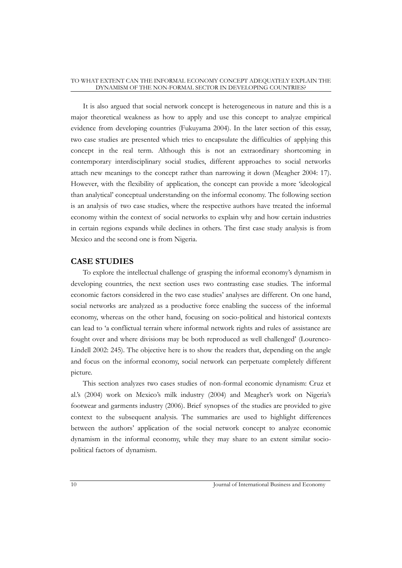It is also argued that social network concept is heterogeneous in nature and this is a major theoretical weakness as how to apply and use this concept to analyze empirical evidence from developing countries (Fukuyama 2004). In the later section of this essay, two case studies are presented which tries to encapsulate the difficulties of applying this concept in the real term. Although this is not an extraordinary shortcoming in contemporary interdisciplinary social studies, different approaches to social networks attach new meanings to the concept rather than narrowing it down (Meagher 2004: 17). However, with the flexibility of application, the concept can provide a more "ideological than analytical" conceptual understanding on the informal economy. The following section is an analysis of two case studies, where the respective authors have treated the informal economy within the context of social networks to explain why and how certain industries in certain regions expands while declines in others. The first case study analysis is from Mexico and the second one is from Nigeria.

## **CASE STUDIES**

To explore the intellectual challenge of grasping the informal economy's dynamism in developing countries, the next section uses two contrasting case studies. The informal economic factors considered in the two case studies" analyses are different. On one hand, social networks are analyzed as a productive force enabling the success of the informal economy, whereas on the other hand, focusing on socio-political and historical contexts can lead to "a conflictual terrain where informal network rights and rules of assistance are fought over and where divisions may be both reproduced as well challenged" (Lourenco-Lindell 2002: 245). The objective here is to show the readers that, depending on the angle and focus on the informal economy, social network can perpetuate completely different picture.

This section analyzes two cases studies of non-formal economic dynamism: Cruz et al.'s (2004) work on Mexico's milk industry (2004) and Meagher's work on Nigeria's footwear and garments industry (2006). Brief synopses of the studies are provided to give context to the subsequent analysis. The summaries are used to highlight differences between the authors" application of the social network concept to analyze economic dynamism in the informal economy, while they may share to an extent similar sociopolitical factors of dynamism.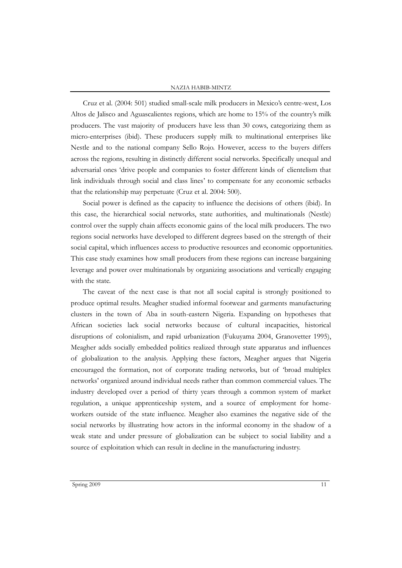#### NAZIA HABIB-MINTZ

Cruz et al. (2004: 501) studied small-scale milk producers in Mexico"s centre-west, Los Altos de Jalisco and Aguascalientes regions, which are home to 15% of the country's milk producers. The vast majority of producers have less than 30 cows, categorizing them as micro-enterprises (ibid). These producers supply milk to multinational enterprises like Nestle and to the national company Sello Rojo. However, access to the buyers differs across the regions, resulting in distinctly different social networks. Specifically unequal and adversarial ones "drive people and companies to foster different kinds of clientelism that link individuals through social and class lines" to compensate for any economic setbacks that the relationship may perpetuate (Cruz et al. 2004: 500).

Social power is defined as the capacity to influence the decisions of others (ibid). In this case, the hierarchical social networks, state authorities, and multinationals (Nestle) control over the supply chain affects economic gains of the local milk producers. The two regions social networks have developed to different degrees based on the strength of their social capital, which influences access to productive resources and economic opportunities. This case study examines how small producers from these regions can increase bargaining leverage and power over multinationals by organizing associations and vertically engaging with the state.

The caveat of the next case is that not all social capital is strongly positioned to produce optimal results. Meagher studied informal footwear and garments manufacturing clusters in the town of Aba in south-eastern Nigeria. Expanding on hypotheses that African societies lack social networks because of cultural incapacities, historical disruptions of colonialism, and rapid urbanization (Fukuyama 2004, Granovetter 1995), Meagher adds socially embedded politics realized through state apparatus and influences of globalization to the analysis. Applying these factors, Meagher argues that Nigeria encouraged the formation, not of corporate trading networks, but of "broad multiplex networks" organized around individual needs rather than common commercial values. The industry developed over a period of thirty years through a common system of market regulation, a unique apprenticeship system, and a source of employment for homeworkers outside of the state influence. Meagher also examines the negative side of the social networks by illustrating how actors in the informal economy in the shadow of a weak state and under pressure of globalization can be subject to social liability and a source of exploitation which can result in decline in the manufacturing industry.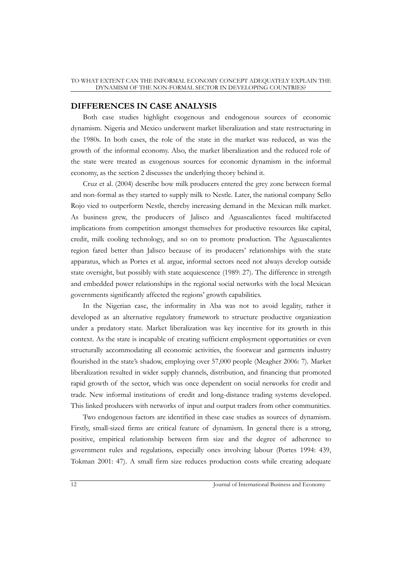## **DIFFERENCES IN CASE ANALYSIS**

Both case studies highlight exogenous and endogenous sources of economic dynamism. Nigeria and Mexico underwent market liberalization and state restructuring in the 1980s. In both cases, the role of the state in the market was reduced, as was the growth of the informal economy. Also, the market liberalization and the reduced role of the state were treated as exogenous sources for economic dynamism in the informal economy, as the section 2 discusses the underlying theory behind it.

Cruz et al. (2004) describe how milk producers entered the grey zone between formal and non-formal as they started to supply milk to Nestle. Later, the national company Sello Rojo vied to outperform Nestle, thereby increasing demand in the Mexican milk market. As business grew, the producers of Jalisco and Aguascalientes faced multifaceted implications from competition amongst themselves for productive resources like capital, credit, milk cooling technology, and so on to promote production. The Aguascalientes region fared better than Jalisco because of its producers" relationships with the state apparatus, which as Portes et al. argue, informal sectors need not always develop outside state oversight, but possibly with state acquiescence (1989: 27). The difference in strength and embedded power relationships in the regional social networks with the local Mexican governments significantly affected the regions" growth capabilities.

In the Nigerian case, the informality in Aba was not to avoid legality, rather it developed as an alternative regulatory framework to structure productive organization under a predatory state. Market liberalization was key incentive for its growth in this context. As the state is incapable of creating sufficient employment opportunities or even structurally accommodating all economic activities, the footwear and garments industry flourished in the state"s shadow, employing over 57,000 people (Meagher 2006: 7). Market liberalization resulted in wider supply channels, distribution, and financing that promoted rapid growth of the sector, which was once dependent on social networks for credit and trade. New informal institutions of credit and long-distance trading systems developed. This linked producers with networks of input and output traders from other communities.

Two endogenous factors are identified in these case studies as sources of dynamism. Firstly, small-sized firms are critical feature of dynamism. In general there is a strong, positive, empirical relationship between firm size and the degree of adherence to government rules and regulations, especially ones involving labour (Portes 1994: 439, Tokman 2001: 47). A small firm size reduces production costs while creating adequate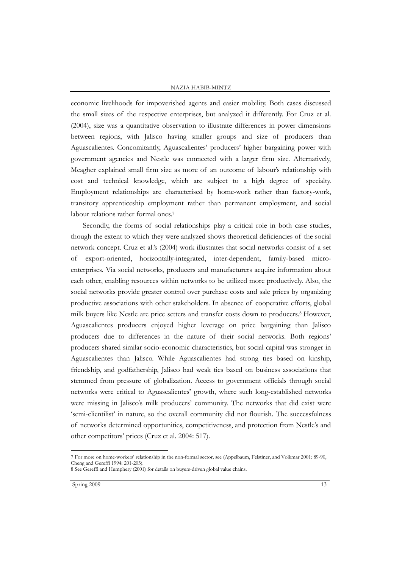#### NAZIA HABIB-MINTZ

economic livelihoods for impoverished agents and easier mobility. Both cases discussed the small sizes of the respective enterprises, but analyzed it differently. For Cruz et al. (2004), size was a quantitative observation to illustrate differences in power dimensions between regions, with Jalisco having smaller groups and size of producers than Aguascalientes. Concomitantly, Aguascalientes' producers' higher bargaining power with government agencies and Nestle was connected with a larger firm size. Alternatively, Meagher explained small firm size as more of an outcome of labour"s relationship with cost and technical knowledge, which are subject to a high degree of specialty. Employment relationships are characterised by home-work rather than factory-work, transitory apprenticeship employment rather than permanent employment, and social labour relations rather formal ones.<sup>7</sup>

Secondly, the forms of social relationships play a critical role in both case studies, though the extent to which they were analyzed shows theoretical deficiencies of the social network concept. Cruz et al."s (2004) work illustrates that social networks consist of a set of export-oriented, horizontally-integrated, inter-dependent, family-based microenterprises. Via social networks, producers and manufacturers acquire information about each other, enabling resources within networks to be utilized more productively. Also, the social networks provide greater control over purchase costs and sale prices by organizing productive associations with other stakeholders. In absence of cooperative efforts, global milk buyers like Nestle are price setters and transfer costs down to producers.<sup>8</sup> However, Aguascalientes producers enjoyed higher leverage on price bargaining than Jalisco producers due to differences in the nature of their social networks. Both regions" producers shared similar socio-economic characteristics, but social capital was stronger in Aguascalientes than Jalisco. While Aguascalientes had strong ties based on kinship, friendship, and godfathership, Jalisco had weak ties based on business associations that stemmed from pressure of globalization. Access to government officials through social networks were critical to Aguascalientes" growth, where such long-established networks were missing in Jalisco's milk producers' community. The networks that did exist were 'semi-clientilist' in nature, so the overall community did not flourish. The successfulness of networks determined opportunities, competitiveness, and protection from Nestle"s and other competitors" prices (Cruz et al. 2004: 517).

<sup>7</sup> For more on home-workers" relationship in the non-formal sector, see (Appelbaum, Felstiner, and Volkmar 2001: 89-90, Cheng and Gereffi 1994: 201-203).

<sup>8</sup> See Gereffi and Humphery (2001) for details on buyers-driven global value chains.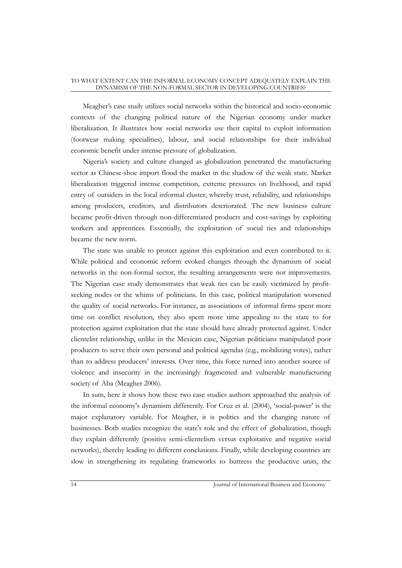#### TO WHAT EXTENT CAN THE INFORMAL ECONOMY CONCEPT ADEQUATELY EXPLAIN THE DYNAMISM OF THE NON-FORMAL SECTOR IN DEVELOPING COUNTRIES?

Meagher"s case study utilizes social networks within the historical and socio-economic contexts of the changing political nature of the Nigerian economy under market liberalization. It illustrates how social networks use their capital to exploit information (footwear making specialities), labour, and social relationships for their individual economic benefit under intense pressure of globalization.

Nigeria"s society and culture changed as globalization penetrated the manufacturing sector as Chinese-shoe import flood the market in the shadow of the weak state. Market liberalization triggered intense competition, extreme pressures on livelihood, and rapid entry of outsiders in the local informal cluster, whereby trust, reliability, and relationships among producers, creditors, and distributors deteriorated. The new business culture became profit-driven through non-differentiated products and cost-savings by exploiting workers and apprentices. Essentially, the exploitation of social ties and relationships became the new norm.

The state was unable to protect against this exploitation and even contributed to it. While political and economic reform evoked changes through the dynamism of social networks in the non-formal sector, the resulting arrangements were not improvements. The Nigerian case study demonstrates that weak ties can be easily victimized by profitseeking nodes or the whims of politicians. In this case, political manipulation worsened the quality of social networks. For instance, as associations of informal firms spent more time on conflict resolution, they also spent more time appealing to the state to for protection against exploitation that the state should have already protected against. Under clientelist relationship, unlike in the Mexican case, Nigerian politicians manipulated poor producers to serve their own personal and political agendas (e.g., mobilizing votes), rather than to address producers" interests. Over time, this force turned into another source of violence and insecurity in the increasingly fragmented and vulnerable manufacturing society of Aba (Meagher 2006).

In sum, here it shows how these two case studies authors approached the analysis of the informal economy's dynamism differently. For Cruz et al. (2004), "social-power" is the major explanatory variable. For Meagher, it is politics and the changing nature of businesses. Both studies recognize the state's role and the effect of globalization, though they explain differently (positive semi-clientelism versus exploitative and negative social networks), thereby leading to different conclusions. Finally, while developing countries are slow in strengthening its regulating frameworks to buttress the productive units, the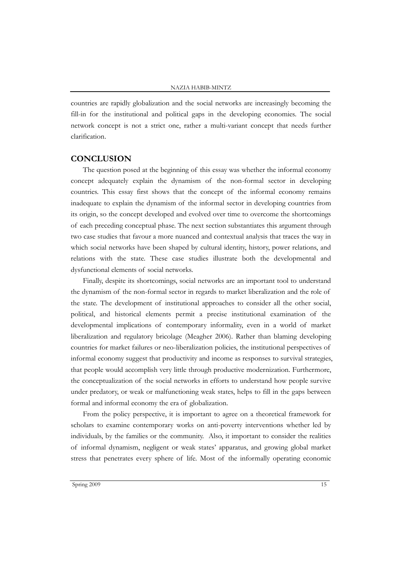countries are rapidly globalization and the social networks are increasingly becoming the fill-in for the institutional and political gaps in the developing economies. The social network concept is not a strict one, rather a multi-variant concept that needs further clarification.

## **CONCLUSION**

The question posed at the beginning of this essay was whether the informal economy concept adequately explain the dynamism of the non-formal sector in developing countries. This essay first shows that the concept of the informal economy remains inadequate to explain the dynamism of the informal sector in developing countries from its origin, so the concept developed and evolved over time to overcome the shortcomings of each preceding conceptual phase. The next section substantiates this argument through two case studies that favour a more nuanced and contextual analysis that traces the way in which social networks have been shaped by cultural identity, history, power relations, and relations with the state. These case studies illustrate both the developmental and dysfunctional elements of social networks.

Finally, despite its shortcomings, social networks are an important tool to understand the dynamism of the non-formal sector in regards to market liberalization and the role of the state. The development of institutional approaches to consider all the other social, political, and historical elements permit a precise institutional examination of the developmental implications of contemporary informality, even in a world of market liberalization and regulatory bricolage (Meagher 2006). Rather than blaming developing countries for market failures or neo-liberalization policies, the institutional perspectives of informal economy suggest that productivity and income as responses to survival strategies, that people would accomplish very little through productive modernization. Furthermore, the conceptualization of the social networks in efforts to understand how people survive under predatory, or weak or malfunctioning weak states, helps to fill in the gaps between formal and informal economy the era of globalization.

From the policy perspective, it is important to agree on a theoretical framework for scholars to examine contemporary works on anti-poverty interventions whether led by individuals, by the families or the community. Also, it important to consider the realities of informal dynamism, negligent or weak states" apparatus, and growing global market stress that penetrates every sphere of life. Most of the informally operating economic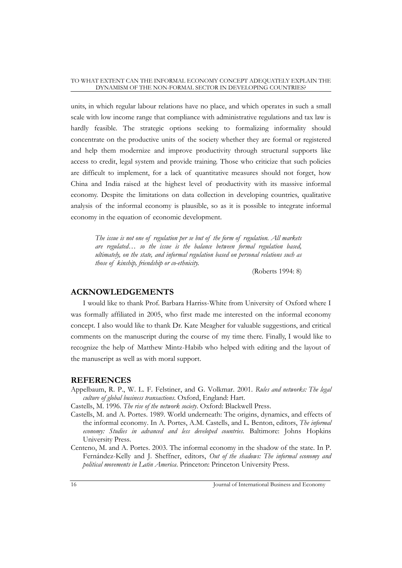units, in which regular labour relations have no place, and which operates in such a small scale with low income range that compliance with administrative regulations and tax law is hardly feasible. The strategic options seeking to formalizing informality should concentrate on the productive units of the society whether they are formal or registered and help them modernize and improve productivity through structural supports like access to credit, legal system and provide training. Those who criticize that such policies are difficult to implement, for a lack of quantitative measures should not forget, how China and India raised at the highest level of productivity with its massive informal economy. Despite the limitations on data collection in developing countries, qualitative analysis of the informal economy is plausible, so as it is possible to integrate informal economy in the equation of economic development.

*The issue is not one of regulation per se but of the form of regulation. All markets are regulated… so the issue is the balance between formal regulation based, ultimately, on the state, and informal regulation based on personal relations such as those of kinship, friendship or co-ethnicity.* 

(Roberts 1994: 8)

## **ACKNOWLEDGEMENTS**

I would like to thank Prof. Barbara Harriss-White from University of Oxford where I was formally affiliated in 2005, who first made me interested on the informal economy concept. I also would like to thank Dr. Kate Meagher for valuable suggestions, and critical comments on the manuscript during the course of my time there. Finally, I would like to recognize the help of Matthew Mintz-Habib who helped with editing and the layout of the manuscript as well as with moral support.

## **REFERENCES**

- Appelbaum, R. P., W. L. F. Felstiner, and G. Volkmar. 2001. *Rules and networks: The legal culture of global business transactions*. Oxford, England: Hart.
- Castells, M. 1996. *The rise of the network society*. Oxford: Blackwell Press.
- Castells, M. and A. Portes. 1989. World underneath: The origins, dynamics, and effects of the informal economy. In A. Portes, A.M. Castells, and L. Benton, editors, *The informal economy: Studies in advanced and less developed countries.* Baltimore: Johns Hopkins University Press.
- Centeno, M. and A. Portes. 2003. The informal economy in the shadow of the state. In P. Fernández-Kelly and J. Sheffner, editors, *Out of the shadows: The informal economy and political movements in Latin America*. Princeton: Princeton University Press.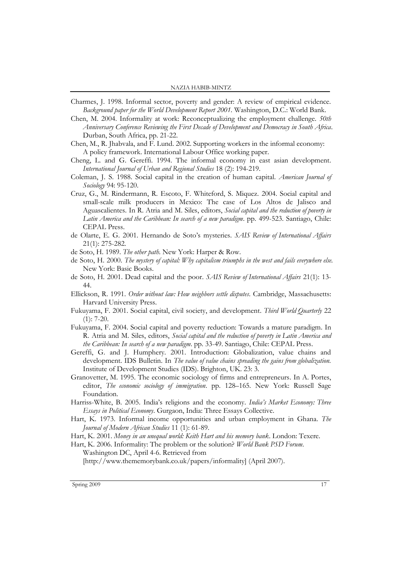- Charmes, J. 1998. Informal sector, poverty and gender: A review of empirical evidence. *Background paper for the World Development Report 2001.* Washington, D.C.: World Bank.
- Chen, M. 2004. Informality at work: Reconceptualizing the employment challenge. *50th Anniversary Conference Reviewing the First Decade of Development and Democracy in South Africa*. Durban, South Africa, pp. 21-22.
- Chen, M., R. Jhabvala, and F. Lund. 2002. Supporting workers in the informal economy: A policy framework. International Labour Office working paper.
- Cheng, L. and G. Gereffi. 1994. The informal economy in east asian development. *International Journal of Urban and Regional Studies* 18 (2): 194-219.
- Coleman, J. S. 1988. Social capital in the creation of human capital. *American Journal of Sociology* 94: 95-120.
- Cruz, G., M. Rindermann, R. Escoto, F. Whiteford, S. Miquez. 2004. Social capital and small-scale milk producers in Mexico: The case of Los Altos de Jalisco and Aguascalientes. In R. Atria and M. Siles, editors, *Social capital and the reduction of poverty in Latin America and the Caribbean: In search of a new paradigm*. pp. 499-523. Santiago, Chile: CEPAL Press.
- de Olarte, E. G. 2001. Hernando de Soto"s mysteries. *SAIS Review of International Affairs* 21(1): 275-282.
- de Soto, H. 1989. *The other path.* New York: Harper & Row.
- de Soto, H. 2000. *The mystery of capital: Why capitalism triumphs in the west and fails everywhere else*. New York: Basic Books.
- de Soto, H. 2001. Dead capital and the poor. *SAIS Review of International Affairs* 21(1): 13- 44.
- Ellickson, R. 1991. *Order without law: How neighbors settle disputes*. Cambridge, Massachusetts: Harvard University Press.
- Fukuyama, F. 2001. Social capital, civil society, and development. *Third World Quarterly* 22  $(1)$ : 7-20.
- Fukuyama, F. 2004. Social capital and poverty reduction: Towards a mature paradigm. In R. Atria and M. Siles, editors, *Social capital and the reduction of poverty in Latin America and the Caribbean: In search of a new paradigm*. pp. 33-49. Santiago, Chile: CEPAL Press.
- Gereffi, G. and J. Humphery*.* 2001. Introduction: Globalization, value chains and development. IDS Bulletin. In *The value of value chains spreading the gains from globalization.* Institute of Development Studies (IDS). Brighton, UK. 23: 3.
- Granovetter, M. 1995. The economic sociology of firms and entrepreneurs. In A. Portes, editor, *The economic sociology of immigration*. pp. 128–165. New York: Russell Sage Foundation.
- Harriss-White, B. 2005. India"s religions and the economy. *India's Market Economy: Three Essays in Political Economy*. Gurgaon, India: Three Essays Collective.
- Hart, K. 1973. Informal income opportunities and urban employment in Ghana. *The Journal of Modern African Studies* 11 (1): 61-89.
- Hart, K. 2001. *Money in an unequal world: Keith Hart and his memory bank*. London: Texere.

Hart, K. 2006. Informality: The problem or the solution? *World Bank PSD Forum*. Washington DC, April 4-6. Retrieved from [http://www.thememorybank.co.uk/papers/informality] (April 2007).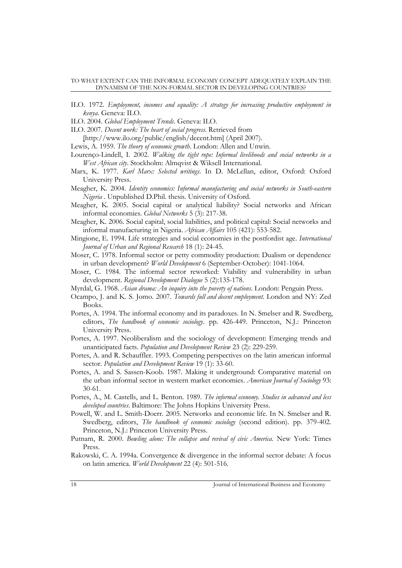- ILO. 1972. *Employment, incomes and equality: A strategy for increasing productive employment in kenya*. Geneva: ILO.
- ILO. 2004. *Global Employment Trends*. Geneva: ILO.
- ILO. 2007. *Decent work: The heart of social progress*. Retrieved from

[http://www.ilo.org/public/english/decent.htm] (April 2007).

- Lewis, A. 1959. *The theory of economic growth*. London: Allen and Unwin.
- Lourenço-Lindell, I. 2002. *Walking the tight rope: Informal livelihoods and social networks in a West African city*. Stockholm: Almqvist & Wiksell International.
- Marx, K. 1977. *Karl Marx: Selected writings*. In D. McLellan, editor, Oxford: Oxford University Press.
- Meagher, K. 2004. *Identity economics: Informal manufacturing and social networks in South-eastern Nigeria* . Unpublished D.Phil. thesis. University of Oxford.
- Meagher, K. 2005. Social capital or analytical liability? Social networks and African informal economies. *Global Networks* 5 (3): 217-38.
- Meagher, K. 2006. Social capital, social liabilities, and political capital: Social networks and informal manufacturing in Nigeria. *African Affairs* 105 (421): 553-582.
- Mingione, E. 1994. Life strategies and social economies in the postfordist age. *International Journal of Urban and Regional Research* 18 (1): 24-45.
- Moser, C. 1978. Informal sector or petty commodity production: Dualism or dependence in urban development? *World Development* 6 (September-October): 1041-1064.
- Moser, C. 1984. The informal sector reworked: Viability and vulnerability in urban development. *Regional Development Dialogue* 5 (2):135-178.
- Myrdal, G. 1968. *Asian drama: An inquiry into the poverty of nations*. London: Penguin Press.
- Ocampo, J. and K. S. Jomo. 2007. *Towards full and decent employment.* London and NY: Zed Books.
- Portes, A. 1994. The informal economy and its paradoxes. In N. Smelser and R. Swedberg, editors, *The handbook of economic sociology*. pp. 426-449. Princeton, N.J.: Princeton University Press.
- Portes, A. 1997. Neoliberalism and the sociology of development: Emerging trends and unanticipated facts. *Population and Development Review* 23 (2): 229-259.
- Portes, A. and R. Schauffler. 1993. Competing perspectives on the latin american informal sector. *Population and Development Review* 19 (1): 33-60.
- Portes, A. and S. Sassen-Koob. 1987. Making it underground: Comparative material on the urban informal sector in western market economies. *American Journal of Sociology* 93: 30-61.
- Portes, A., M. Castells, and L. Benton. 1989. *The informal economy. Studies in advanced and less developed countries*. Baltimore: The Johns Hopkins University Press.
- Powell, W. and L. Smith-Doerr. 2005. Networks and economic life. In N. Smelser and R. Swedberg, editors, *The handbook of economic sociology* (second edition). pp. 379-402. Princeton, N.J.: Princeton University Press.
- Putnam, R. 2000. *Bowling alone: The collapse and revival of civic America.* New York: Times Press.
- Rakowski, C. A. 1994a. Convergence & divergence in the informal sector debate: A focus on latin america. *World Development* 22 (4): 501-516.